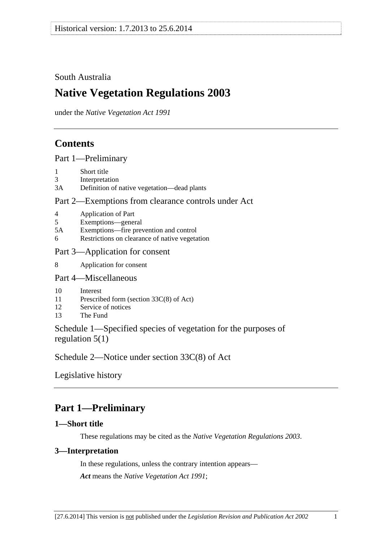## South Australia

# **Native Vegetation Regulations 2003**

under the *Native Vegetation Act 1991*

## **Contents**

Part 1—Preliminary

- 1 Short title
- 3 Interpretation
- 3A Definition of native vegetation—dead plants

## Part 2—Exemptions from clearance controls under Act

- 4 Application of Part
- 5 Exemptions—general
- 5A Exemptions—fire prevention and control
- 6 Restrictions on clearance of native vegetation

## Part 3—Application for consent

8 Application for consent

## Part 4—Miscellaneous

- 10 Interest
- 11 Prescribed form (section 33C(8) of Act)
- 12 Service of notices
- 13 The Fund

Schedule 1—Specified species of vegetation for the purposes of regulation 5(1)

Schedule 2—Notice under section 33C(8) of Act

Legislative history

# **Part 1—Preliminary**

## **1—Short title**

These regulations may be cited as the *Native Vegetation Regulations 2003*.

## **3—Interpretation**

In these regulations, unless the contrary intention appears— *Act* means the *Native Vegetation Act 1991*;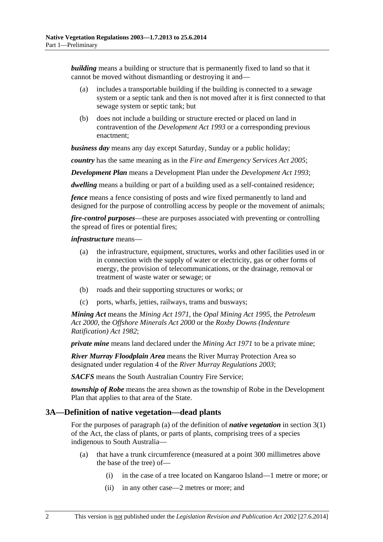*building* means a building or structure that is permanently fixed to land so that it cannot be moved without dismantling or destroying it and—

- (a) includes a transportable building if the building is connected to a sewage system or a septic tank and then is not moved after it is first connected to that sewage system or septic tank; but
- (b) does not include a building or structure erected or placed on land in contravention of the *Development Act 1993* or a corresponding previous enactment;

*business day* means any day except Saturday, Sunday or a public holiday;

*country* has the same meaning as in the *Fire and Emergency Services Act 2005*;

*Development Plan* means a Development Plan under the *Development Act 1993*;

*dwelling* means a building or part of a building used as a self-contained residence;

*fence* means a fence consisting of posts and wire fixed permanently to land and designed for the purpose of controlling access by people or the movement of animals;

*fire-control purposes*—these are purposes associated with preventing or controlling the spread of fires or potential fires;

#### *infrastructure* means—

- (a) the infrastructure, equipment, structures, works and other facilities used in or in connection with the supply of water or electricity, gas or other forms of energy, the provision of telecommunications, or the drainage, removal or treatment of waste water or sewage; or
- (b) roads and their supporting structures or works; or
- (c) ports, wharfs, jetties, railways, trams and busways;

*Mining Act* means the *Mining Act 1971*, the *Opal Mining Act 1995*, the *Petroleum Act 2000*, the *Offshore Minerals Act 2000* or the *Roxby Downs (Indenture Ratification) Act 1982*;

*private mine* means land declared under the *Mining Act 1971* to be a private mine;

*River Murray Floodplain Area* means the River Murray Protection Area so designated under regulation 4 of the *River Murray Regulations 2003*;

*SACFS* means the South Australian Country Fire Service;

*township of Robe* means the area shown as the township of Robe in the Development Plan that applies to that area of the State.

#### **3A—Definition of native vegetation—dead plants**

For the purposes of paragraph (a) of the definition of *native vegetation* in section 3(1) of the Act, the class of plants, or parts of plants, comprising trees of a species indigenous to South Australia—

- (a) that have a trunk circumference (measured at a point 300 millimetres above the base of the tree) of—
	- (i) in the case of a tree located on Kangaroo Island—1 metre or more; or
	- (ii) in any other case—2 metres or more; and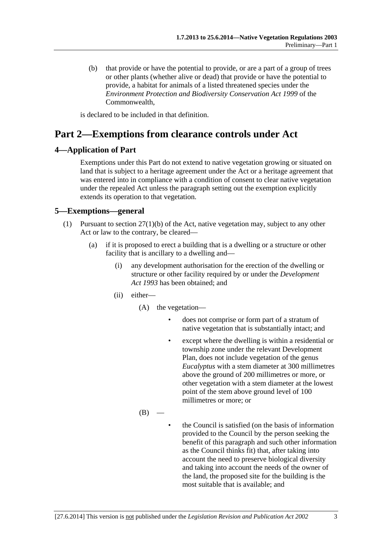(b) that provide or have the potential to provide, or are a part of a group of trees or other plants (whether alive or dead) that provide or have the potential to provide, a habitat for animals of a listed threatened species under the *Environment Protection and Biodiversity Conservation Act 1999* of the Commonwealth,

is declared to be included in that definition.

# **Part 2—Exemptions from clearance controls under Act**

## **4—Application of Part**

Exemptions under this Part do not extend to native vegetation growing or situated on land that is subject to a heritage agreement under the Act or a heritage agreement that was entered into in compliance with a condition of consent to clear native vegetation under the repealed Act unless the paragraph setting out the exemption explicitly extends its operation to that vegetation.

## **5—Exemptions—general**

- (1) Pursuant to section 27(1)(b) of the Act, native vegetation may, subject to any other Act or law to the contrary, be cleared—
	- (a) if it is proposed to erect a building that is a dwelling or a structure or other facility that is ancillary to a dwelling and—
		- (i) any development authorisation for the erection of the dwelling or structure or other facility required by or under the *Development Act 1993* has been obtained; and
		- (ii) either—
			- (A) the vegetation
				- does not comprise or form part of a stratum of native vegetation that is substantially intact; and
				- except where the dwelling is within a residential or township zone under the relevant Development Plan, does not include vegetation of the genus *Eucalyptus* with a stem diameter at 300 millimetres above the ground of 200 millimetres or more, or other vegetation with a stem diameter at the lowest point of the stem above ground level of 100 millimetres or more; or
			- $(B)$
- the Council is satisfied (on the basis of information provided to the Council by the person seeking the benefit of this paragraph and such other information as the Council thinks fit) that, after taking into account the need to preserve biological diversity and taking into account the needs of the owner of the land, the proposed site for the building is the most suitable that is available; and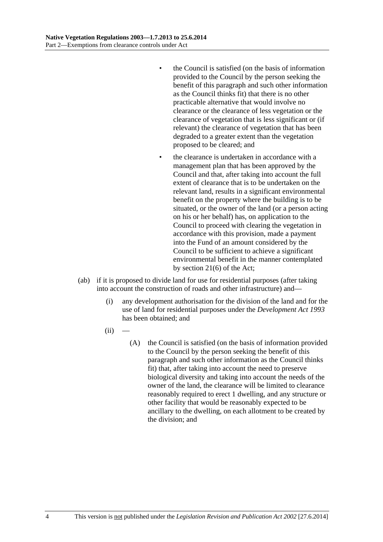- the Council is satisfied (on the basis of information provided to the Council by the person seeking the benefit of this paragraph and such other information as the Council thinks fit) that there is no other practicable alternative that would involve no clearance or the clearance of less vegetation or the clearance of vegetation that is less significant or (if relevant) the clearance of vegetation that has been degraded to a greater extent than the vegetation proposed to be cleared; and
- the clearance is undertaken in accordance with a management plan that has been approved by the Council and that, after taking into account the full extent of clearance that is to be undertaken on the relevant land, results in a significant environmental benefit on the property where the building is to be situated, or the owner of the land (or a person acting on his or her behalf) has, on application to the Council to proceed with clearing the vegetation in accordance with this provision, made a payment into the Fund of an amount considered by the Council to be sufficient to achieve a significant environmental benefit in the manner contemplated by section 21(6) of the Act;
- (ab) if it is proposed to divide land for use for residential purposes (after taking into account the construction of roads and other infrastructure) and—
	- (i) any development authorisation for the division of the land and for the use of land for residential purposes under the *Development Act 1993* has been obtained; and
	- $(ii)$ 
		- (A) the Council is satisfied (on the basis of information provided to the Council by the person seeking the benefit of this paragraph and such other information as the Council thinks fit) that, after taking into account the need to preserve biological diversity and taking into account the needs of the owner of the land, the clearance will be limited to clearance reasonably required to erect 1 dwelling, and any structure or other facility that would be reasonably expected to be ancillary to the dwelling, on each allotment to be created by the division; and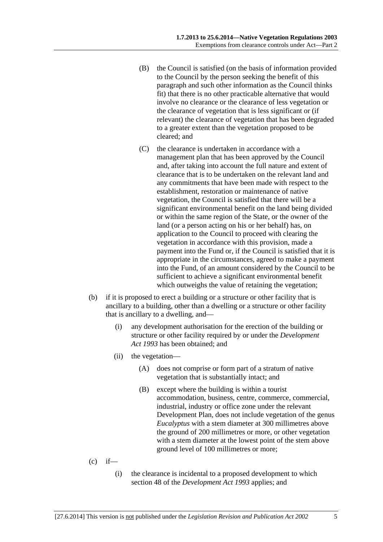- (B) the Council is satisfied (on the basis of information provided to the Council by the person seeking the benefit of this paragraph and such other information as the Council thinks fit) that there is no other practicable alternative that would involve no clearance or the clearance of less vegetation or the clearance of vegetation that is less significant or (if relevant) the clearance of vegetation that has been degraded to a greater extent than the vegetation proposed to be cleared; and
- (C) the clearance is undertaken in accordance with a management plan that has been approved by the Council and, after taking into account the full nature and extent of clearance that is to be undertaken on the relevant land and any commitments that have been made with respect to the establishment, restoration or maintenance of native vegetation, the Council is satisfied that there will be a significant environmental benefit on the land being divided or within the same region of the State, or the owner of the land (or a person acting on his or her behalf) has, on application to the Council to proceed with clearing the vegetation in accordance with this provision, made a payment into the Fund or, if the Council is satisfied that it is appropriate in the circumstances, agreed to make a payment into the Fund, of an amount considered by the Council to be sufficient to achieve a significant environmental benefit which outweighs the value of retaining the vegetation;
- (b) if it is proposed to erect a building or a structure or other facility that is ancillary to a building, other than a dwelling or a structure or other facility that is ancillary to a dwelling, and—
	- (i) any development authorisation for the erection of the building or structure or other facility required by or under the *Development Act 1993* has been obtained; and
	- (ii) the vegetation—
		- (A) does not comprise or form part of a stratum of native vegetation that is substantially intact; and
		- (B) except where the building is within a tourist accommodation, business, centre, commerce, commercial, industrial, industry or office zone under the relevant Development Plan, does not include vegetation of the genus *Eucalyptus* with a stem diameter at 300 millimetres above the ground of 200 millimetres or more, or other vegetation with a stem diameter at the lowest point of the stem above ground level of 100 millimetres or more;
- $(c)$  if—
	- (i) the clearance is incidental to a proposed development to which section 48 of the *Development Act 1993* applies; and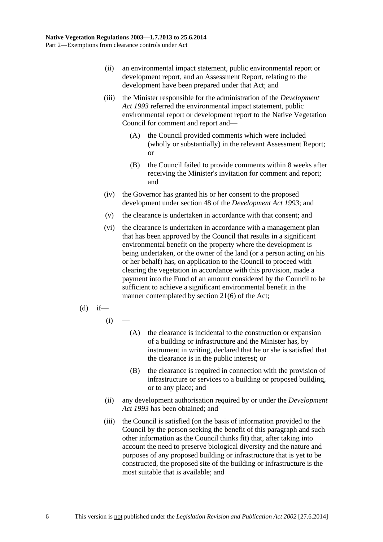- (ii) an environmental impact statement, public environmental report or development report, and an Assessment Report, relating to the development have been prepared under that Act; and
- (iii) the Minister responsible for the administration of the *Development Act 1993* referred the environmental impact statement, public environmental report or development report to the Native Vegetation Council for comment and report and—
	- (A) the Council provided comments which were included (wholly or substantially) in the relevant Assessment Report; or
	- (B) the Council failed to provide comments within 8 weeks after receiving the Minister's invitation for comment and report; and
- (iv) the Governor has granted his or her consent to the proposed development under section 48 of the *Development Act 1993*; and
- (v) the clearance is undertaken in accordance with that consent; and
- (vi) the clearance is undertaken in accordance with a management plan that has been approved by the Council that results in a significant environmental benefit on the property where the development is being undertaken, or the owner of the land (or a person acting on his or her behalf) has, on application to the Council to proceed with clearing the vegetation in accordance with this provision, made a payment into the Fund of an amount considered by the Council to be sufficient to achieve a significant environmental benefit in the manner contemplated by section 21(6) of the Act;
- $(d)$  if—
	- $(i)$
- (A) the clearance is incidental to the construction or expansion of a building or infrastructure and the Minister has, by instrument in writing, declared that he or she is satisfied that the clearance is in the public interest; or
- (B) the clearance is required in connection with the provision of infrastructure or services to a building or proposed building, or to any place; and
- (ii) any development authorisation required by or under the *Development Act 1993* has been obtained; and
- (iii) the Council is satisfied (on the basis of information provided to the Council by the person seeking the benefit of this paragraph and such other information as the Council thinks fit) that, after taking into account the need to preserve biological diversity and the nature and purposes of any proposed building or infrastructure that is yet to be constructed, the proposed site of the building or infrastructure is the most suitable that is available; and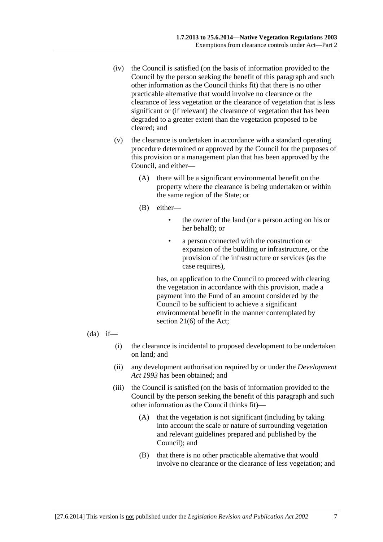- (iv) the Council is satisfied (on the basis of information provided to the Council by the person seeking the benefit of this paragraph and such other information as the Council thinks fit) that there is no other practicable alternative that would involve no clearance or the clearance of less vegetation or the clearance of vegetation that is less significant or (if relevant) the clearance of vegetation that has been degraded to a greater extent than the vegetation proposed to be cleared; and
- (v) the clearance is undertaken in accordance with a standard operating procedure determined or approved by the Council for the purposes of this provision or a management plan that has been approved by the Council, and either—
	- (A) there will be a significant environmental benefit on the property where the clearance is being undertaken or within the same region of the State; or
	- (B) either—
		- the owner of the land (or a person acting on his or her behalf); or
		- a person connected with the construction or expansion of the building or infrastructure, or the provision of the infrastructure or services (as the case requires),

has, on application to the Council to proceed with clearing the vegetation in accordance with this provision, made a payment into the Fund of an amount considered by the Council to be sufficient to achieve a significant environmental benefit in the manner contemplated by section 21(6) of the Act;

- $(da)$  if—
	- (i) the clearance is incidental to proposed development to be undertaken on land; and
	- (ii) any development authorisation required by or under the *Development Act 1993* has been obtained; and
	- (iii) the Council is satisfied (on the basis of information provided to the Council by the person seeking the benefit of this paragraph and such other information as the Council thinks fit)—
		- (A) that the vegetation is not significant (including by taking into account the scale or nature of surrounding vegetation and relevant guidelines prepared and published by the Council); and
		- (B) that there is no other practicable alternative that would involve no clearance or the clearance of less vegetation; and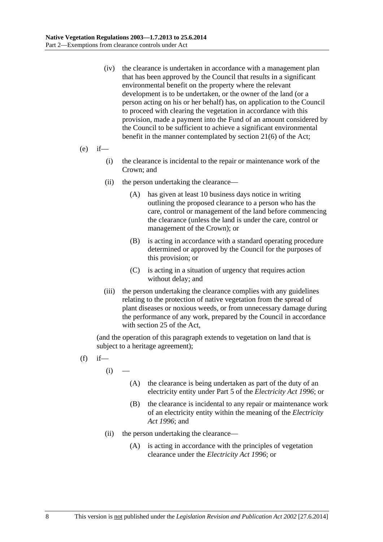- (iv) the clearance is undertaken in accordance with a management plan that has been approved by the Council that results in a significant environmental benefit on the property where the relevant development is to be undertaken, or the owner of the land (or a person acting on his or her behalf) has, on application to the Council to proceed with clearing the vegetation in accordance with this provision, made a payment into the Fund of an amount considered by the Council to be sufficient to achieve a significant environmental benefit in the manner contemplated by section 21(6) of the Act;
- $(e)$  if—
	- (i) the clearance is incidental to the repair or maintenance work of the Crown; and
	- (ii) the person undertaking the clearance—
		- (A) has given at least 10 business days notice in writing outlining the proposed clearance to a person who has the care, control or management of the land before commencing the clearance (unless the land is under the care, control or management of the Crown); or
		- (B) is acting in accordance with a standard operating procedure determined or approved by the Council for the purposes of this provision; or
		- (C) is acting in a situation of urgency that requires action without delay; and
	- (iii) the person undertaking the clearance complies with any guidelines relating to the protection of native vegetation from the spread of plant diseases or noxious weeds, or from unnecessary damage during the performance of any work, prepared by the Council in accordance with section 25 of the Act,

(and the operation of this paragraph extends to vegetation on land that is subject to a heritage agreement);

- $(f)$  if
	- $(i)$
- (A) the clearance is being undertaken as part of the duty of an electricity entity under Part 5 of the *Electricity Act 1996*; or
- (B) the clearance is incidental to any repair or maintenance work of an electricity entity within the meaning of the *Electricity Act 1996*; and
- (ii) the person undertaking the clearance—
	- (A) is acting in accordance with the principles of vegetation clearance under the *Electricity Act 1996*; or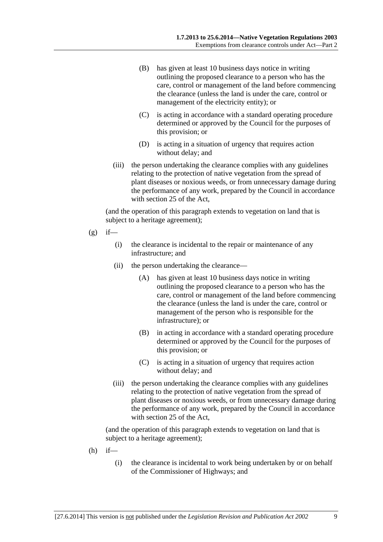- (B) has given at least 10 business days notice in writing outlining the proposed clearance to a person who has the care, control or management of the land before commencing the clearance (unless the land is under the care, control or management of the electricity entity); or
- (C) is acting in accordance with a standard operating procedure determined or approved by the Council for the purposes of this provision; or
- (D) is acting in a situation of urgency that requires action without delay; and
- (iii) the person undertaking the clearance complies with any guidelines relating to the protection of native vegetation from the spread of plant diseases or noxious weeds, or from unnecessary damage during the performance of any work, prepared by the Council in accordance with section 25 of the Act,

(and the operation of this paragraph extends to vegetation on land that is subject to a heritage agreement);

- $(g)$  if—
	- (i) the clearance is incidental to the repair or maintenance of any infrastructure; and
	- (ii) the person undertaking the clearance—
		- (A) has given at least 10 business days notice in writing outlining the proposed clearance to a person who has the care, control or management of the land before commencing the clearance (unless the land is under the care, control or management of the person who is responsible for the infrastructure); or
		- (B) in acting in accordance with a standard operating procedure determined or approved by the Council for the purposes of this provision; or
		- (C) is acting in a situation of urgency that requires action without delay; and
	- (iii) the person undertaking the clearance complies with any guidelines relating to the protection of native vegetation from the spread of plant diseases or noxious weeds, or from unnecessary damage during the performance of any work, prepared by the Council in accordance with section 25 of the Act,

(and the operation of this paragraph extends to vegetation on land that is subject to a heritage agreement);

- $(h)$  if—
	- (i) the clearance is incidental to work being undertaken by or on behalf of the Commissioner of Highways; and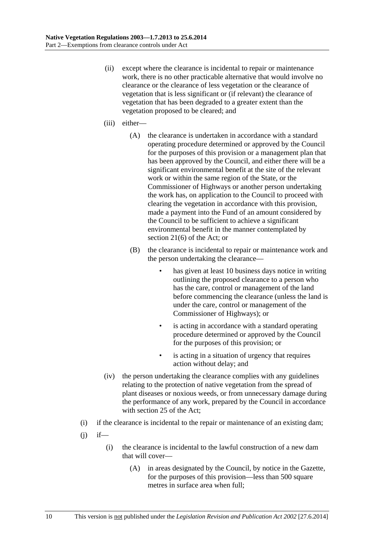- (ii) except where the clearance is incidental to repair or maintenance work, there is no other practicable alternative that would involve no clearance or the clearance of less vegetation or the clearance of vegetation that is less significant or (if relevant) the clearance of vegetation that has been degraded to a greater extent than the vegetation proposed to be cleared; and
- (iii) either—
	- (A) the clearance is undertaken in accordance with a standard operating procedure determined or approved by the Council for the purposes of this provision or a management plan that has been approved by the Council, and either there will be a significant environmental benefit at the site of the relevant work or within the same region of the State, or the Commissioner of Highways or another person undertaking the work has, on application to the Council to proceed with clearing the vegetation in accordance with this provision, made a payment into the Fund of an amount considered by the Council to be sufficient to achieve a significant environmental benefit in the manner contemplated by section 21(6) of the Act; or
	- (B) the clearance is incidental to repair or maintenance work and the person undertaking the clearance
		- has given at least 10 business days notice in writing outlining the proposed clearance to a person who has the care, control or management of the land before commencing the clearance (unless the land is under the care, control or management of the Commissioner of Highways); or
		- is acting in accordance with a standard operating procedure determined or approved by the Council for the purposes of this provision; or
		- is acting in a situation of urgency that requires action without delay; and
- (iv) the person undertaking the clearance complies with any guidelines relating to the protection of native vegetation from the spread of plant diseases or noxious weeds, or from unnecessary damage during the performance of any work, prepared by the Council in accordance with section 25 of the Act;
- (i) if the clearance is incidental to the repair or maintenance of an existing dam;
- $(i)$  if—
	- (i) the clearance is incidental to the lawful construction of a new dam that will cover—
		- (A) in areas designated by the Council, by notice in the Gazette, for the purposes of this provision—less than 500 square metres in surface area when full;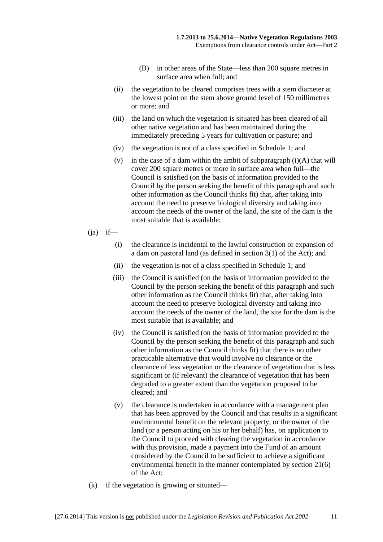- (B) in other areas of the State—less than 200 square metres in surface area when full; and
- (ii) the vegetation to be cleared comprises trees with a stem diameter at the lowest point on the stem above ground level of 150 millimetres or more; and
- (iii) the land on which the vegetation is situated has been cleared of all other native vegetation and has been maintained during the immediately preceding 5 years for cultivation or pasture; and
- (iv) the vegetation is not of a class specified in Schedule 1; and
- (v) in the case of a dam within the ambit of subparagraph  $(i)(A)$  that will cover 200 square metres or more in surface area when full—the Council is satisfied (on the basis of information provided to the Council by the person seeking the benefit of this paragraph and such other information as the Council thinks fit) that, after taking into account the need to preserve biological diversity and taking into account the needs of the owner of the land, the site of the dam is the most suitable that is available;
- $(ia)$  if—
	- (i) the clearance is incidental to the lawful construction or expansion of a dam on pastoral land (as defined in section 3(1) of the Act); and
	- (ii) the vegetation is not of a class specified in Schedule 1; and
	- (iii) the Council is satisfied (on the basis of information provided to the Council by the person seeking the benefit of this paragraph and such other information as the Council thinks fit) that, after taking into account the need to preserve biological diversity and taking into account the needs of the owner of the land, the site for the dam is the most suitable that is available; and
	- (iv) the Council is satisfied (on the basis of information provided to the Council by the person seeking the benefit of this paragraph and such other information as the Council thinks fit) that there is no other practicable alternative that would involve no clearance or the clearance of less vegetation or the clearance of vegetation that is less significant or (if relevant) the clearance of vegetation that has been degraded to a greater extent than the vegetation proposed to be cleared; and
	- (v) the clearance is undertaken in accordance with a management plan that has been approved by the Council and that results in a significant environmental benefit on the relevant property, or the owner of the land (or a person acting on his or her behalf) has, on application to the Council to proceed with clearing the vegetation in accordance with this provision, made a payment into the Fund of an amount considered by the Council to be sufficient to achieve a significant environmental benefit in the manner contemplated by section 21(6) of the Act;
- (k) if the vegetation is growing or situated—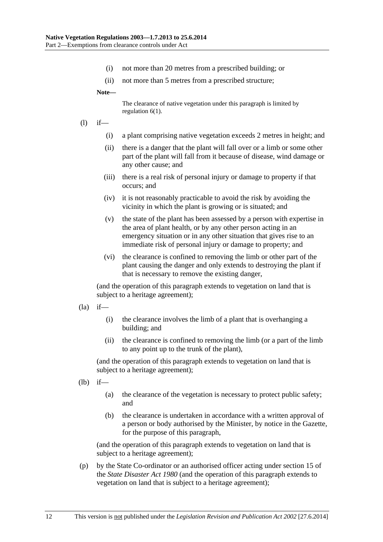- (i) not more than 20 metres from a prescribed building; or
- (ii) not more than 5 metres from a prescribed structure;

**Note—** 

The clearance of native vegetation under this paragraph is limited by regulation 6(1).

- (l) if—
	- (i) a plant comprising native vegetation exceeds 2 metres in height; and
	- (ii) there is a danger that the plant will fall over or a limb or some other part of the plant will fall from it because of disease, wind damage or any other cause; and
	- (iii) there is a real risk of personal injury or damage to property if that occurs; and
	- (iv) it is not reasonably practicable to avoid the risk by avoiding the vicinity in which the plant is growing or is situated; and
	- (v) the state of the plant has been assessed by a person with expertise in the area of plant health, or by any other person acting in an emergency situation or in any other situation that gives rise to an immediate risk of personal injury or damage to property; and
	- (vi) the clearance is confined to removing the limb or other part of the plant causing the danger and only extends to destroying the plant if that is necessary to remove the existing danger,

(and the operation of this paragraph extends to vegetation on land that is subject to a heritage agreement);

- $(la)$  if—
	- (i) the clearance involves the limb of a plant that is overhanging a building; and
	- (ii) the clearance is confined to removing the limb (or a part of the limb to any point up to the trunk of the plant),

(and the operation of this paragraph extends to vegetation on land that is subject to a heritage agreement);

- (lb) if—
	- (a) the clearance of the vegetation is necessary to protect public safety; and
	- (b) the clearance is undertaken in accordance with a written approval of a person or body authorised by the Minister, by notice in the Gazette, for the purpose of this paragraph,

(and the operation of this paragraph extends to vegetation on land that is subject to a heritage agreement);

 (p) by the State Co-ordinator or an authorised officer acting under section 15 of the *State Disaster Act 1980* (and the operation of this paragraph extends to vegetation on land that is subject to a heritage agreement);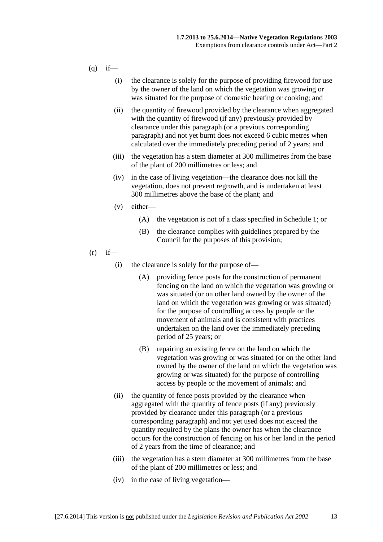- $(q)$  if—
	- (i) the clearance is solely for the purpose of providing firewood for use by the owner of the land on which the vegetation was growing or was situated for the purpose of domestic heating or cooking; and
	- (ii) the quantity of firewood provided by the clearance when aggregated with the quantity of firewood (if any) previously provided by clearance under this paragraph (or a previous corresponding paragraph) and not yet burnt does not exceed 6 cubic metres when calculated over the immediately preceding period of 2 years; and
	- (iii) the vegetation has a stem diameter at 300 millimetres from the base of the plant of 200 millimetres or less; and
	- (iv) in the case of living vegetation—the clearance does not kill the vegetation, does not prevent regrowth, and is undertaken at least 300 millimetres above the base of the plant; and
	- (v) either—
		- (A) the vegetation is not of a class specified in Schedule 1; or
		- (B) the clearance complies with guidelines prepared by the Council for the purposes of this provision;
- $(r)$  if—
	- (i) the clearance is solely for the purpose of—
		- (A) providing fence posts for the construction of permanent fencing on the land on which the vegetation was growing or was situated (or on other land owned by the owner of the land on which the vegetation was growing or was situated) for the purpose of controlling access by people or the movement of animals and is consistent with practices undertaken on the land over the immediately preceding period of 25 years; or
		- (B) repairing an existing fence on the land on which the vegetation was growing or was situated (or on the other land owned by the owner of the land on which the vegetation was growing or was situated) for the purpose of controlling access by people or the movement of animals; and
	- (ii) the quantity of fence posts provided by the clearance when aggregated with the quantity of fence posts (if any) previously provided by clearance under this paragraph (or a previous corresponding paragraph) and not yet used does not exceed the quantity required by the plans the owner has when the clearance occurs for the construction of fencing on his or her land in the period of 2 years from the time of clearance; and
	- (iii) the vegetation has a stem diameter at 300 millimetres from the base of the plant of 200 millimetres or less; and
	- (iv) in the case of living vegetation—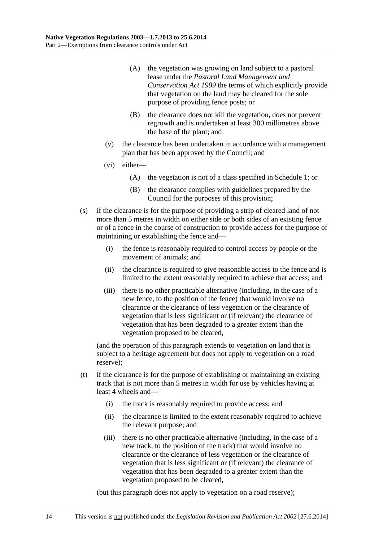- (A) the vegetation was growing on land subject to a pastoral lease under the *Pastoral Land Management and Conservation Act 1989* the terms of which explicitly provide that vegetation on the land may be cleared for the sole purpose of providing fence posts; or
- (B) the clearance does not kill the vegetation, does not prevent regrowth and is undertaken at least 300 millimetres above the base of the plant; and
- (v) the clearance has been undertaken in accordance with a management plan that has been approved by the Council; and
- (vi) either—
	- (A) the vegetation is not of a class specified in Schedule 1; or
	- (B) the clearance complies with guidelines prepared by the Council for the purposes of this provision;
- (s) if the clearance is for the purpose of providing a strip of cleared land of not more than 5 metres in width on either side or both sides of an existing fence or of a fence in the course of construction to provide access for the purpose of maintaining or establishing the fence and—
	- (i) the fence is reasonably required to control access by people or the movement of animals; and
	- (ii) the clearance is required to give reasonable access to the fence and is limited to the extent reasonably required to achieve that access; and
	- (iii) there is no other practicable alternative (including, in the case of a new fence, to the position of the fence) that would involve no clearance or the clearance of less vegetation or the clearance of vegetation that is less significant or (if relevant) the clearance of vegetation that has been degraded to a greater extent than the vegetation proposed to be cleared,

(and the operation of this paragraph extends to vegetation on land that is subject to a heritage agreement but does not apply to vegetation on a road reserve);

- (t) if the clearance is for the purpose of establishing or maintaining an existing track that is not more than 5 metres in width for use by vehicles having at least 4 wheels and—
	- (i) the track is reasonably required to provide access; and
	- (ii) the clearance is limited to the extent reasonably required to achieve the relevant purpose; and
	- (iii) there is no other practicable alternative (including, in the case of a new track, to the position of the track) that would involve no clearance or the clearance of less vegetation or the clearance of vegetation that is less significant or (if relevant) the clearance of vegetation that has been degraded to a greater extent than the vegetation proposed to be cleared,

(but this paragraph does not apply to vegetation on a road reserve);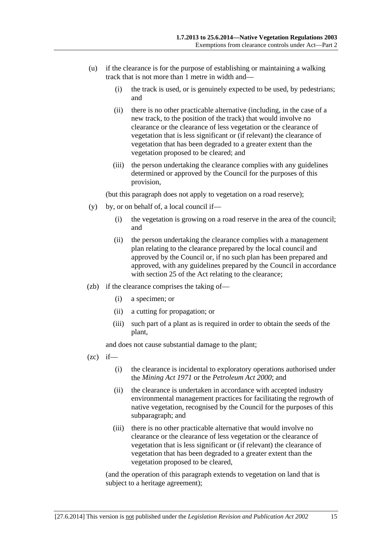- (u) if the clearance is for the purpose of establishing or maintaining a walking track that is not more than 1 metre in width and—
	- (i) the track is used, or is genuinely expected to be used, by pedestrians; and
	- (ii) there is no other practicable alternative (including, in the case of a new track, to the position of the track) that would involve no clearance or the clearance of less vegetation or the clearance of vegetation that is less significant or (if relevant) the clearance of vegetation that has been degraded to a greater extent than the vegetation proposed to be cleared; and
	- (iii) the person undertaking the clearance complies with any guidelines determined or approved by the Council for the purposes of this provision,

(but this paragraph does not apply to vegetation on a road reserve);

- (y) by, or on behalf of, a local council if—
	- (i) the vegetation is growing on a road reserve in the area of the council; and
	- (ii) the person undertaking the clearance complies with a management plan relating to the clearance prepared by the local council and approved by the Council or, if no such plan has been prepared and approved, with any guidelines prepared by the Council in accordance with section 25 of the Act relating to the clearance;
- (zb) if the clearance comprises the taking of—
	- (i) a specimen; or
	- (ii) a cutting for propagation; or
	- (iii) such part of a plant as is required in order to obtain the seeds of the plant,

and does not cause substantial damage to the plant;

- $(zc)$  if—
	- (i) the clearance is incidental to exploratory operations authorised under the *Mining Act 1971* or the *Petroleum Act 2000*; and
	- (ii) the clearance is undertaken in accordance with accepted industry environmental management practices for facilitating the regrowth of native vegetation, recognised by the Council for the purposes of this subparagraph; and
	- (iii) there is no other practicable alternative that would involve no clearance or the clearance of less vegetation or the clearance of vegetation that is less significant or (if relevant) the clearance of vegetation that has been degraded to a greater extent than the vegetation proposed to be cleared,

(and the operation of this paragraph extends to vegetation on land that is subject to a heritage agreement);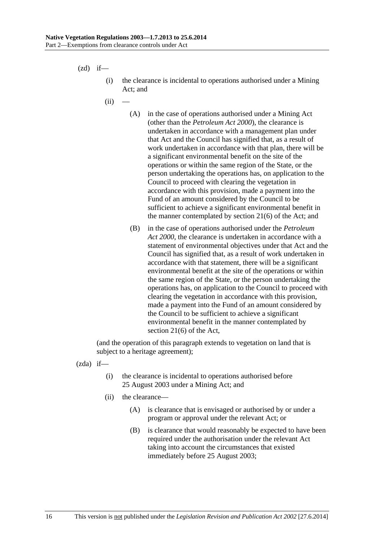$(zd)$  if—

- (i) the clearance is incidental to operations authorised under a Mining Act; and
- $(ii)$ 
	- (A) in the case of operations authorised under a Mining Act (other than the *Petroleum Act 2000*), the clearance is undertaken in accordance with a management plan under that Act and the Council has signified that, as a result of work undertaken in accordance with that plan, there will be a significant environmental benefit on the site of the operations or within the same region of the State, or the person undertaking the operations has, on application to the Council to proceed with clearing the vegetation in accordance with this provision, made a payment into the Fund of an amount considered by the Council to be sufficient to achieve a significant environmental benefit in the manner contemplated by section 21(6) of the Act; and
	- (B) in the case of operations authorised under the *Petroleum Act 2000*, the clearance is undertaken in accordance with a statement of environmental objectives under that Act and the Council has signified that, as a result of work undertaken in accordance with that statement, there will be a significant environmental benefit at the site of the operations or within the same region of the State, or the person undertaking the operations has, on application to the Council to proceed with clearing the vegetation in accordance with this provision, made a payment into the Fund of an amount considered by the Council to be sufficient to achieve a significant environmental benefit in the manner contemplated by section 21(6) of the Act,

(and the operation of this paragraph extends to vegetation on land that is subject to a heritage agreement);

(zda) if—

- (i) the clearance is incidental to operations authorised before 25 August 2003 under a Mining Act; and
- (ii) the clearance—
	- (A) is clearance that is envisaged or authorised by or under a program or approval under the relevant Act; or
	- (B) is clearance that would reasonably be expected to have been required under the authorisation under the relevant Act taking into account the circumstances that existed immediately before 25 August 2003;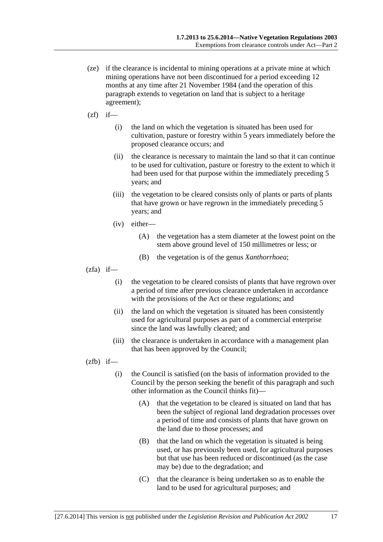- (ze) if the clearance is incidental to mining operations at a private mine at which mining operations have not been discontinued for a period exceeding 12 months at any time after 21 November 1984 (and the operation of this paragraph extends to vegetation on land that is subject to a heritage agreement);
- $(zf)$  if—
	- (i) the land on which the vegetation is situated has been used for cultivation, pasture or forestry within 5 years immediately before the proposed clearance occurs; and
	- (ii) the clearance is necessary to maintain the land so that it can continue to be used for cultivation, pasture or forestry to the extent to which it had been used for that purpose within the immediately preceding 5 years; and
	- (iii) the vegetation to be cleared consists only of plants or parts of plants that have grown or have regrown in the immediately preceding 5 years; and
	- (iv) either—
		- (A) the vegetation has a stem diameter at the lowest point on the stem above ground level of 150 millimetres or less; or
		- (B) the vegetation is of the genus *Xanthorrhoea*;
- $(zfa)$  if—
	- (i) the vegetation to be cleared consists of plants that have regrown over a period of time after previous clearance undertaken in accordance with the provisions of the Act or these regulations; and
	- (ii) the land on which the vegetation is situated has been consistently used for agricultural purposes as part of a commercial enterprise since the land was lawfully cleared; and
	- (iii) the clearance is undertaken in accordance with a management plan that has been approved by the Council;

 $(zfb)$  if—

- (i) the Council is satisfied (on the basis of information provided to the Council by the person seeking the benefit of this paragraph and such other information as the Council thinks fit)—
	- (A) that the vegetation to be cleared is situated on land that has been the subject of regional land degradation processes over a period of time and consists of plants that have grown on the land due to those processes; and
	- (B) that the land on which the vegetation is situated is being used, or has previously been used, for agricultural purposes but that use has been reduced or discontinued (as the case may be) due to the degradation; and
	- (C) that the clearance is being undertaken so as to enable the land to be used for agricultural purposes; and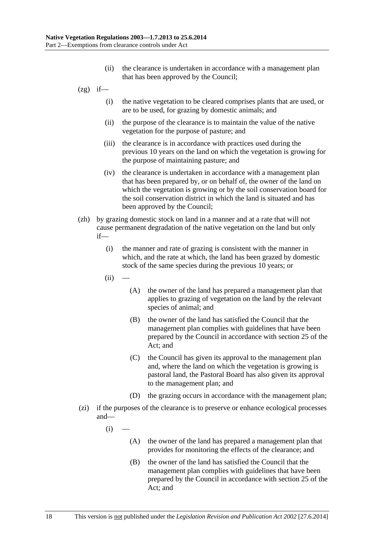- (ii) the clearance is undertaken in accordance with a management plan that has been approved by the Council;
- $(2g)$  if—
	- (i) the native vegetation to be cleared comprises plants that are used, or are to be used, for grazing by domestic animals; and
	- (ii) the purpose of the clearance is to maintain the value of the native vegetation for the purpose of pasture; and
	- (iii) the clearance is in accordance with practices used during the previous 10 years on the land on which the vegetation is growing for the purpose of maintaining pasture; and
	- (iv) the clearance is undertaken in accordance with a management plan that has been prepared by, or on behalf of, the owner of the land on which the vegetation is growing or by the soil conservation board for the soil conservation district in which the land is situated and has been approved by the Council;
- (zh) by grazing domestic stock on land in a manner and at a rate that will not cause permanent degradation of the native vegetation on the land but only if—
	- (i) the manner and rate of grazing is consistent with the manner in which, and the rate at which, the land has been grazed by domestic stock of the same species during the previous 10 years; or
	- $(ii)$
- (A) the owner of the land has prepared a management plan that applies to grazing of vegetation on the land by the relevant species of animal; and
- (B) the owner of the land has satisfied the Council that the management plan complies with guidelines that have been prepared by the Council in accordance with section 25 of the Act; and
- (C) the Council has given its approval to the management plan and, where the land on which the vegetation is growing is pastoral land, the Pastoral Board has also given its approval to the management plan; and
- (D) the grazing occurs in accordance with the management plan;
- (zi) if the purposes of the clearance is to preserve or enhance ecological processes and—
	- $(i)$ 
		- (A) the owner of the land has prepared a management plan that provides for monitoring the effects of the clearance; and
		- (B) the owner of the land has satisfied the Council that the management plan complies with guidelines that have been prepared by the Council in accordance with section 25 of the Act; and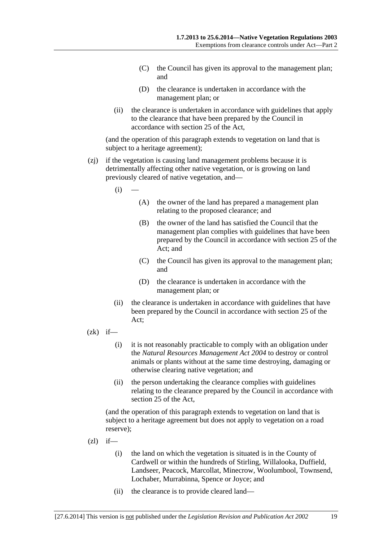- (C) the Council has given its approval to the management plan; and
- (D) the clearance is undertaken in accordance with the management plan; or
- (ii) the clearance is undertaken in accordance with guidelines that apply to the clearance that have been prepared by the Council in accordance with section 25 of the Act,

(and the operation of this paragraph extends to vegetation on land that is subject to a heritage agreement);

- (zj) if the vegetation is causing land management problems because it is detrimentally affecting other native vegetation, or is growing on land previously cleared of native vegetation, and—
	- $(i)$
- (A) the owner of the land has prepared a management plan relating to the proposed clearance; and
- (B) the owner of the land has satisfied the Council that the management plan complies with guidelines that have been prepared by the Council in accordance with section 25 of the Act; and
- (C) the Council has given its approval to the management plan; and
- (D) the clearance is undertaken in accordance with the management plan; or
- (ii) the clearance is undertaken in accordance with guidelines that have been prepared by the Council in accordance with section 25 of the Act;
- $(zk)$  if—
	- (i) it is not reasonably practicable to comply with an obligation under the *Natural Resources Management Act 2004* to destroy or control animals or plants without at the same time destroying, damaging or otherwise clearing native vegetation; and
	- (ii) the person undertaking the clearance complies with guidelines relating to the clearance prepared by the Council in accordance with section 25 of the Act,

(and the operation of this paragraph extends to vegetation on land that is subject to a heritage agreement but does not apply to vegetation on a road reserve);

- $(zl)$  if—
	- (i) the land on which the vegetation is situated is in the County of Cardwell or within the hundreds of Stirling, Willalooka, Duffield, Landseer, Peacock, Marcollat, Minecrow, Woolumbool, Townsend, Lochaber, Murrabinna, Spence or Joyce; and
	- (ii) the clearance is to provide cleared land—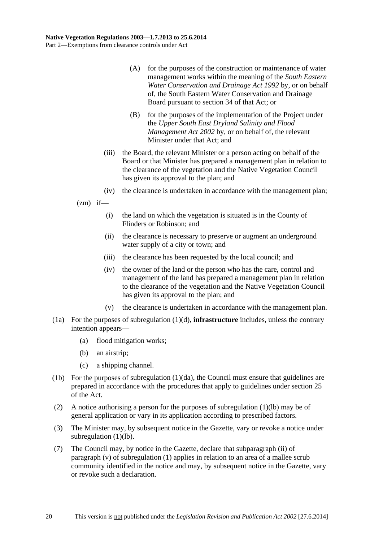- (A) for the purposes of the construction or maintenance of water management works within the meaning of the *South Eastern Water Conservation and Drainage Act 1992* by, or on behalf of, the South Eastern Water Conservation and Drainage Board pursuant to section 34 of that Act; or
- (B) for the purposes of the implementation of the Project under the *Upper South East Dryland Salinity and Flood Management Act 2002* by, or on behalf of, the relevant Minister under that Act; and
- (iii) the Board, the relevant Minister or a person acting on behalf of the Board or that Minister has prepared a management plan in relation to the clearance of the vegetation and the Native Vegetation Council has given its approval to the plan; and
- (iv) the clearance is undertaken in accordance with the management plan;

 $(zm)$  if—

- (i) the land on which the vegetation is situated is in the County of Flinders or Robinson; and
- (ii) the clearance is necessary to preserve or augment an underground water supply of a city or town; and
- (iii) the clearance has been requested by the local council; and
- (iv) the owner of the land or the person who has the care, control and management of the land has prepared a management plan in relation to the clearance of the vegetation and the Native Vegetation Council has given its approval to the plan; and
- (v) the clearance is undertaken in accordance with the management plan.
- (1a) For the purposes of subregulation (1)(d), **infrastructure** includes, unless the contrary intention appears—
	- (a) flood mitigation works;
	- (b) an airstrip;
	- (c) a shipping channel.
- (1b) For the purposes of subregulation (1)(da), the Council must ensure that guidelines are prepared in accordance with the procedures that apply to guidelines under section 25 of the Act.
- (2) A notice authorising a person for the purposes of subregulation (1)(lb) may be of general application or vary in its application according to prescribed factors.
- (3) The Minister may, by subsequent notice in the Gazette, vary or revoke a notice under subregulation (1)(lb).
- (7) The Council may, by notice in the Gazette, declare that subparagraph (ii) of paragraph (v) of subregulation (1) applies in relation to an area of a mallee scrub community identified in the notice and may, by subsequent notice in the Gazette, vary or revoke such a declaration.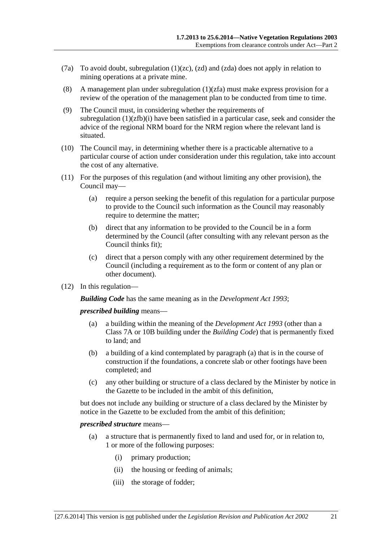- (7a) To avoid doubt, subregulation (1)(zc), (zd) and (zda) does not apply in relation to mining operations at a private mine.
- (8) A management plan under subregulation  $(1)(zfa)$  must make express provision for a review of the operation of the management plan to be conducted from time to time.
- (9) The Council must, in considering whether the requirements of subregulation  $(1)(zfb)(i)$  have been satisfied in a particular case, seek and consider the advice of the regional NRM board for the NRM region where the relevant land is situated.
- (10) The Council may, in determining whether there is a practicable alternative to a particular course of action under consideration under this regulation, take into account the cost of any alternative.
- (11) For the purposes of this regulation (and without limiting any other provision), the Council may—
	- (a) require a person seeking the benefit of this regulation for a particular purpose to provide to the Council such information as the Council may reasonably require to determine the matter;
	- (b) direct that any information to be provided to the Council be in a form determined by the Council (after consulting with any relevant person as the Council thinks fit);
	- (c) direct that a person comply with any other requirement determined by the Council (including a requirement as to the form or content of any plan or other document).
- (12) In this regulation—

*Building Code* has the same meaning as in the *Development Act 1993*;

*prescribed building* means—

- (a) a building within the meaning of the *Development Act 1993* (other than a Class 7A or 10B building under the *Building Code*) that is permanently fixed to land; and
- (b) a building of a kind contemplated by paragraph (a) that is in the course of construction if the foundations, a concrete slab or other footings have been completed; and
- (c) any other building or structure of a class declared by the Minister by notice in the Gazette to be included in the ambit of this definition,

but does not include any building or structure of a class declared by the Minister by notice in the Gazette to be excluded from the ambit of this definition;

#### *prescribed structure* means—

- (a) a structure that is permanently fixed to land and used for, or in relation to, 1 or more of the following purposes:
	- (i) primary production;
	- (ii) the housing or feeding of animals;
	- (iii) the storage of fodder;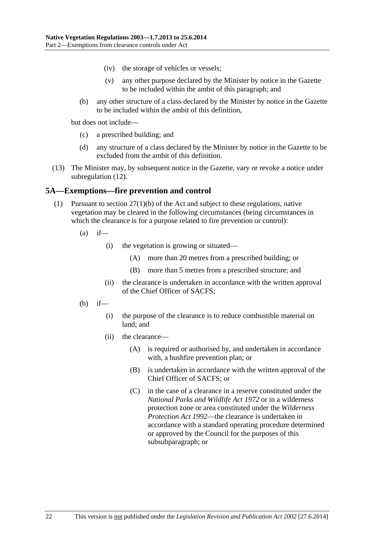- (iv) the storage of vehicles or vessels;
- (v) any other purpose declared by the Minister by notice in the Gazette to be included within the ambit of this paragraph; and
- (b) any other structure of a class declared by the Minister by notice in the Gazette to be included within the ambit of this definition,

but does not include—

- (c) a prescribed building; and
- (d) any structure of a class declared by the Minister by notice in the Gazette to be excluded from the ambit of this definition.
- (13) The Minister may, by subsequent notice in the Gazette, vary or revoke a notice under subregulation (12).

## **5A—Exemptions—fire prevention and control**

- (1) Pursuant to section 27(1)(b) of the Act and subject to these regulations, native vegetation may be cleared in the following circumstances (being circumstances in which the clearance is for a purpose related to fire prevention or control):
	- $(a)$  if—
		- (i) the vegetation is growing or situated—
			- (A) more than 20 metres from a prescribed building; or
			- (B) more than 5 metres from a prescribed structure; and
		- (ii) the clearance is undertaken in accordance with the written approval of the Chief Officer of SACFS;
	- $(b)$  if—
		- (i) the purpose of the clearance is to reduce combustible material on land; and
		- (ii) the clearance—
			- (A) is required or authorised by, and undertaken in accordance with, a bushfire prevention plan; or
			- (B) is undertaken in accordance with the written approval of the Chief Officer of SACFS; or
			- (C) in the case of a clearance in a reserve constituted under the *National Parks and Wildlife Act 1972* or in a wilderness protection zone or area constituted under the *Wilderness Protection Act 1992*—the clearance is undertaken in accordance with a standard operating procedure determined or approved by the Council for the purposes of this subsubparagraph; or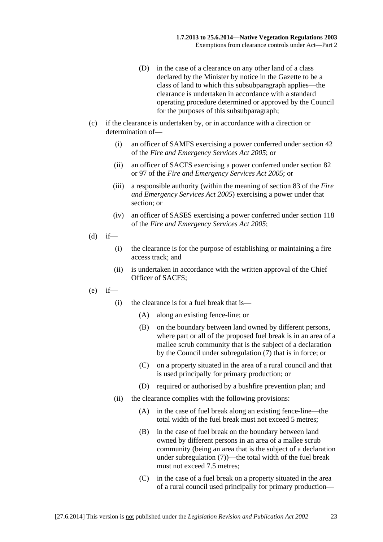- (D) in the case of a clearance on any other land of a class declared by the Minister by notice in the Gazette to be a class of land to which this subsubparagraph applies—the clearance is undertaken in accordance with a standard operating procedure determined or approved by the Council for the purposes of this subsubparagraph;
- (c) if the clearance is undertaken by, or in accordance with a direction or determination of—
	- (i) an officer of SAMFS exercising a power conferred under section 42 of the *Fire and Emergency Services Act 2005*; or
	- (ii) an officer of SACFS exercising a power conferred under section 82 or 97 of the *Fire and Emergency Services Act 2005*; or
	- (iii) a responsible authority (within the meaning of section 83 of the *Fire and Emergency Services Act 2005*) exercising a power under that section; or
	- (iv) an officer of SASES exercising a power conferred under section 118 of the *Fire and Emergency Services Act 2005*;
- $(d)$  if—
	- (i) the clearance is for the purpose of establishing or maintaining a fire access track; and
	- (ii) is undertaken in accordance with the written approval of the Chief Officer of SACFS;
- (e) if—
	- (i) the clearance is for a fuel break that is—
		- (A) along an existing fence-line; or
		- (B) on the boundary between land owned by different persons, where part or all of the proposed fuel break is in an area of a mallee scrub community that is the subject of a declaration by the Council under subregulation (7) that is in force; or
		- (C) on a property situated in the area of a rural council and that is used principally for primary production; or
		- (D) required or authorised by a bushfire prevention plan; and
	- (ii) the clearance complies with the following provisions:
		- (A) in the case of fuel break along an existing fence-line—the total width of the fuel break must not exceed 5 metres;
		- (B) in the case of fuel break on the boundary between land owned by different persons in an area of a mallee scrub community (being an area that is the subject of a declaration under subregulation (7))—the total width of the fuel break must not exceed 7.5 metres:
		- (C) in the case of a fuel break on a property situated in the area of a rural council used principally for primary production—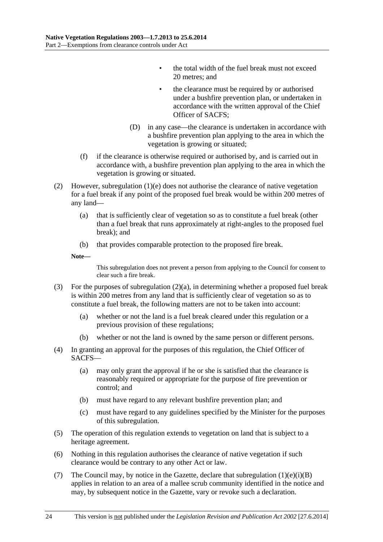- the total width of the fuel break must not exceed 20 metres; and
- the clearance must be required by or authorised under a bushfire prevention plan, or undertaken in accordance with the written approval of the Chief Officer of SACFS;
- (D) in any case—the clearance is undertaken in accordance with a bushfire prevention plan applying to the area in which the vegetation is growing or situated;
- (f) if the clearance is otherwise required or authorised by, and is carried out in accordance with, a bushfire prevention plan applying to the area in which the vegetation is growing or situated.
- (2) However, subregulation (1)(e) does not authorise the clearance of native vegetation for a fuel break if any point of the proposed fuel break would be within 200 metres of any land—
	- (a) that is sufficiently clear of vegetation so as to constitute a fuel break (other than a fuel break that runs approximately at right-angles to the proposed fuel break); and
	- (b) that provides comparable protection to the proposed fire break.

**Note—** 

This subregulation does not prevent a person from applying to the Council for consent to clear such a fire break.

- (3) For the purposes of subregulation (2)(a), in determining whether a proposed fuel break is within 200 metres from any land that is sufficiently clear of vegetation so as to constitute a fuel break, the following matters are not to be taken into account:
	- (a) whether or not the land is a fuel break cleared under this regulation or a previous provision of these regulations;
	- (b) whether or not the land is owned by the same person or different persons.
- (4) In granting an approval for the purposes of this regulation, the Chief Officer of SACFS—
	- (a) may only grant the approval if he or she is satisfied that the clearance is reasonably required or appropriate for the purpose of fire prevention or control; and
	- (b) must have regard to any relevant bushfire prevention plan; and
	- (c) must have regard to any guidelines specified by the Minister for the purposes of this subregulation.
- (5) The operation of this regulation extends to vegetation on land that is subject to a heritage agreement.
- (6) Nothing in this regulation authorises the clearance of native vegetation if such clearance would be contrary to any other Act or law.
- (7) The Council may, by notice in the Gazette, declare that subregulation  $(1)(e)(i)(B)$ applies in relation to an area of a mallee scrub community identified in the notice and may, by subsequent notice in the Gazette, vary or revoke such a declaration.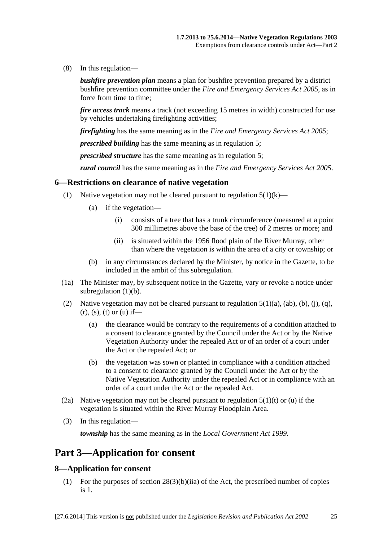(8) In this regulation—

*bushfire prevention plan* means a plan for bushfire prevention prepared by a district bushfire prevention committee under the *Fire and Emergency Services Act 2005*, as in force from time to time;

*fire access track* means a track (not exceeding 15 metres in width) constructed for use by vehicles undertaking firefighting activities;

*firefighting* has the same meaning as in the *Fire and Emergency Services Act 2005*;

*prescribed building* has the same meaning as in regulation 5;

*prescribed structure* has the same meaning as in regulation 5;

*rural council* has the same meaning as in the *Fire and Emergency Services Act 2005*.

#### **6—Restrictions on clearance of native vegetation**

- (1) Native vegetation may not be cleared pursuant to regulation  $5(1)(k)$ 
	- (a) if the vegetation—
		- (i) consists of a tree that has a trunk circumference (measured at a point 300 millimetres above the base of the tree) of 2 metres or more; and
		- (ii) is situated within the 1956 flood plain of the River Murray, other than where the vegetation is within the area of a city or township; or
	- (b) in any circumstances declared by the Minister, by notice in the Gazette, to be included in the ambit of this subregulation.
- (1a) The Minister may, by subsequent notice in the Gazette, vary or revoke a notice under subregulation  $(1)(b)$ .
- (2) Native vegetation may not be cleared pursuant to regulation  $5(1)(a)$ ,  $(ab)$ ,  $(b)$ ,  $(i)$ ,  $(q)$ ,  $(r)$ ,  $(s)$ ,  $(t)$  or  $(u)$  if—
	- (a) the clearance would be contrary to the requirements of a condition attached to a consent to clearance granted by the Council under the Act or by the Native Vegetation Authority under the repealed Act or of an order of a court under the Act or the repealed Act; or
	- (b) the vegetation was sown or planted in compliance with a condition attached to a consent to clearance granted by the Council under the Act or by the Native Vegetation Authority under the repealed Act or in compliance with an order of a court under the Act or the repealed Act.
- (2a) Native vegetation may not be cleared pursuant to regulation  $5(1)(t)$  or (u) if the vegetation is situated within the River Murray Floodplain Area.
- (3) In this regulation—

*township* has the same meaning as in the *Local Government Act 1999*.

## **Part 3—Application for consent**

### **8—Application for consent**

 (1) For the purposes of section 28(3)(b)(iia) of the Act, the prescribed number of copies is 1.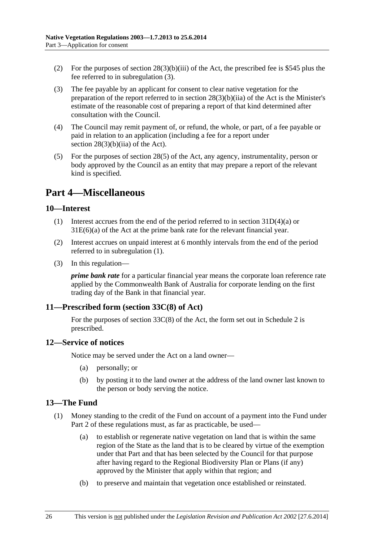- (2) For the purposes of section  $28(3)(b)(iii)$  of the Act, the prescribed fee is \$545 plus the fee referred to in subregulation (3).
- (3) The fee payable by an applicant for consent to clear native vegetation for the preparation of the report referred to in section 28(3)(b)(iia) of the Act is the Minister's estimate of the reasonable cost of preparing a report of that kind determined after consultation with the Council.
- (4) The Council may remit payment of, or refund, the whole, or part, of a fee payable or paid in relation to an application (including a fee for a report under section  $28(3)(b)(ii)$  of the Act).
- (5) For the purposes of section 28(5) of the Act, any agency, instrumentality, person or body approved by the Council as an entity that may prepare a report of the relevant kind is specified.

# **Part 4—Miscellaneous**

## **10—Interest**

- (1) Interest accrues from the end of the period referred to in section 31D(4)(a) or 31E(6)(a) of the Act at the prime bank rate for the relevant financial year.
- (2) Interest accrues on unpaid interest at 6 monthly intervals from the end of the period referred to in subregulation (1).
- (3) In this regulation—

*prime bank rate* for a particular financial year means the corporate loan reference rate applied by the Commonwealth Bank of Australia for corporate lending on the first trading day of the Bank in that financial year.

## **11—Prescribed form (section 33C(8) of Act)**

For the purposes of section 33C(8) of the Act, the form set out in Schedule 2 is prescribed.

## **12—Service of notices**

Notice may be served under the Act on a land owner—

- (a) personally; or
- (b) by posting it to the land owner at the address of the land owner last known to the person or body serving the notice.

## **13—The Fund**

- (1) Money standing to the credit of the Fund on account of a payment into the Fund under Part 2 of these regulations must, as far as practicable, be used—
	- (a) to establish or regenerate native vegetation on land that is within the same region of the State as the land that is to be cleared by virtue of the exemption under that Part and that has been selected by the Council for that purpose after having regard to the Regional Biodiversity Plan or Plans (if any) approved by the Minister that apply within that region; and
	- (b) to preserve and maintain that vegetation once established or reinstated.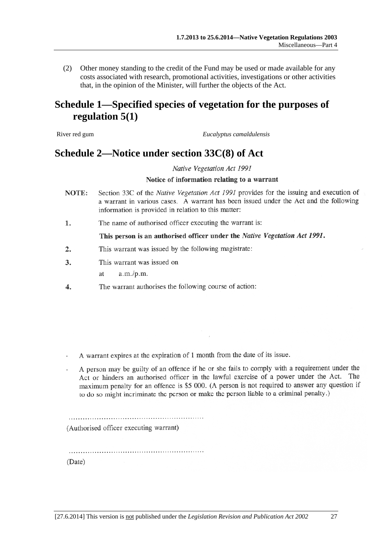(2) Other money standing to the credit of the Fund may be used or made available for any costs associated with research, promotional activities, investigations or other activities that, in the opinion of the Minister, will further the objects of the Act.

# **Schedule 1—Specified species of vegetation for the purposes of regulation 5(1)**

River red gum *Eucalyptus camaldulensis*

## **Schedule 2—Notice under section 33C(8) of Act**

Native Vegetation Act 1991

#### Notice of information relating to a warrant

- Section 33C of the Native Vegetation Act 1991 provides for the issuing and execution of NOTE: a warrant in various cases. A warrant has been issued under the Act and the following information is provided in relation to this matter:
- The name of authorised officer executing the warrant is: 1.

#### This person is an authorised officer under the Native Vegetation Act 1991.

- $\overline{2}$ . This warrant was issued by the following magistrate:
- 3. This warrant was issued on
	- $a.m./p.m.$  $a$ t
- The warrant authorises the following course of action:  $\overline{4}$ .

A warrant expires at the expiration of 1 month from the date of its issue.

A person may be guilty of an offence if he or she fails to comply with a requirement under the Act or hinders an authorised officer in the lawful exercise of a power under the Act. The maximum penalty for an offence is \$5 000. (A person is not required to answer any question if to do so might incriminate the person or make the person liable to a criminal penalty.)

(Authorised officer executing warrant)

(Date)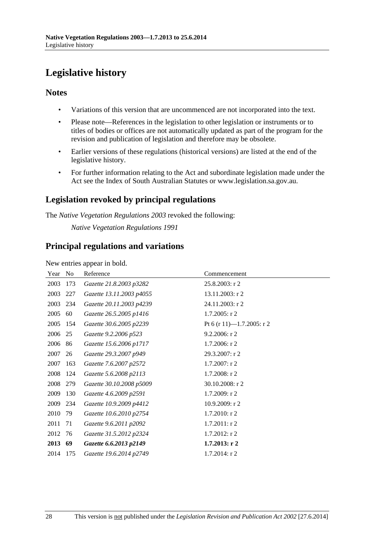# **Legislative history**

## **Notes**

- Variations of this version that are uncommenced are not incorporated into the text.
- Please note—References in the legislation to other legislation or instruments or to titles of bodies or offices are not automatically updated as part of the program for the revision and publication of legislation and therefore may be obsolete.
- Earlier versions of these regulations (historical versions) are listed at the end of the legislative history.
- For further information relating to the Act and subordinate legislation made under the Act see the Index of South Australian Statutes or www.legislation.sa.gov.au.

## **Legislation revoked by principal regulations**

The *Native Vegetation Regulations 2003* revoked the following:

*Native Vegetation Regulations 1991*

## **Principal regulations and variations**

New entries appear in bold.

| Year | N <sub>o</sub> | Reference                | Commencement              |
|------|----------------|--------------------------|---------------------------|
| 2003 | 173            | Gazette 21.8.2003 p3282  | $25.8.2003$ : r 2         |
| 2003 | 227            | Gazette 13.11.2003 p4055 | 13.11.2003: r 2           |
| 2003 | 234            | Gazette 20.11.2003 p4239 | 24.11.2003: r 2           |
| 2005 | 60             | Gazette 26.5.2005 p1416  | $1.7.2005:$ r 2           |
| 2005 | 154            | Gazette 30.6.2005 p2239  | Pt 6 (r 11)-1.7.2005: r 2 |
| 2006 | 25             | Gazette 9.2.2006 p523    | $9.2.2006$ : r 2          |
| 2006 | 86             | Gazette 15.6.2006 p1717  | $1.7.2006$ : r 2          |
| 2007 | 26             | Gazette 29.3.2007 p949   | 29.3.2007: r 2            |
| 2007 | 163            | Gazette 7.6.2007 p2572   | $1.7.2007:$ r 2           |
| 2008 | 124            | Gazette 5.6.2008 p2113   | $1.7.2008:$ r 2           |
| 2008 | 279            | Gazette 30.10.2008 p5009 | 30.10.2008: r 2           |
| 2009 | 130            | Gazette 4.6.2009 p2591   | 1.7.2009: r 2             |
| 2009 | 234            | Gazette 10.9.2009 p4412  | $10.9.2009$ : r 2         |
| 2010 | 79             | Gazette 10.6.2010 p2754  | 1.7.2010: r 2             |
| 2011 | 71             | Gazette 9.6.2011 p2092   | $1.7.2011:$ r 2           |
| 2012 | 76             | Gazette 31.5.2012 p2324  | $1.7.2012$ : r 2          |
| 2013 | 69             | Gazette 6.6.2013 p2149   | $1.7.2013$ : r 2          |
| 2014 | 175            | Gazette 19.6.2014 p2749  | $1.7.2014$ : r 2          |
|      |                |                          |                           |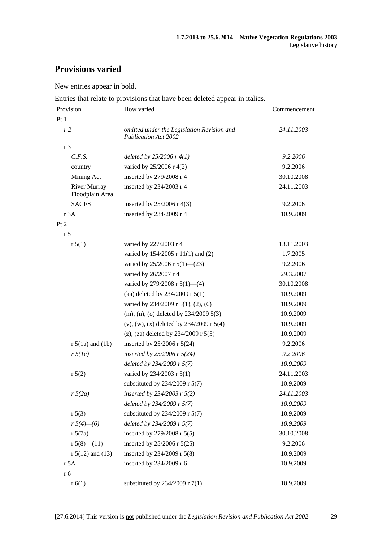# **Provisions varied**

New entries appear in bold.

Entries that relate to provisions that have been deleted appear in italics.

| Provision                              | How varied                                                                | Commencement |  |
|----------------------------------------|---------------------------------------------------------------------------|--------------|--|
| Pt 1                                   |                                                                           |              |  |
| r <sub>2</sub>                         | omitted under the Legislation Revision and<br><b>Publication Act 2002</b> | 24.11.2003   |  |
| r 3                                    |                                                                           |              |  |
| C.F.S.                                 | deleted by $25/2006$ r $4(1)$                                             | 9.2.2006     |  |
| country                                | varied by 25/2006 r 4(2)                                                  | 9.2.2006     |  |
| Mining Act                             | inserted by 279/2008 r 4                                                  | 30.10.2008   |  |
| <b>River Murray</b><br>Floodplain Area | inserted by 234/2003 r 4                                                  | 24.11.2003   |  |
| <b>SACFS</b>                           | inserted by $25/2006$ r 4(3)                                              | 9.2.2006     |  |
| r 3A                                   | inserted by 234/2009 r 4                                                  | 10.9.2009    |  |
| Pt 2                                   |                                                                           |              |  |
| r <sub>5</sub>                         |                                                                           |              |  |
| r 5(1)                                 | varied by 227/2003 r 4                                                    | 13.11.2003   |  |
|                                        | varied by 154/2005 r 11(1) and (2)                                        | 1.7.2005     |  |
|                                        | varied by 25/2006 r 5(1)–(23)                                             | 9.2.2006     |  |
|                                        | varied by 26/2007 r 4                                                     | 29.3.2007    |  |
|                                        | varied by $279/2008$ r $5(1)$ —(4)                                        | 30.10.2008   |  |
|                                        | (ka) deleted by 234/2009 r 5(1)                                           | 10.9.2009    |  |
|                                        | varied by $234/2009$ r $5(1)$ , $(2)$ , $(6)$                             | 10.9.2009    |  |
|                                        | $(m)$ , (n), (o) deleted by 234/2009 5(3)                                 | 10.9.2009    |  |
|                                        | (v), (w), (x) deleted by $234/2009$ r $5(4)$                              | 10.9.2009    |  |
|                                        | (z), (za) deleted by $234/2009$ r $5(5)$                                  | 10.9.2009    |  |
| $r 5(1a)$ and $(1b)$                   | inserted by 25/2006 r 5(24)                                               | 9.2.2006     |  |
| $r \, 5(lc)$                           | inserted by $25/2006$ r $5(24)$                                           | 9.2.2006     |  |
|                                        | deleted by 234/2009 r 5(7)                                                | 10.9.2009    |  |
| r 5(2)                                 | varied by 234/2003 r 5(1)                                                 | 24.11.2003   |  |
|                                        | substituted by $234/2009$ r 5(7)                                          | 10.9.2009    |  |
| $r\sqrt{5(2a)}$                        | inserted by 234/2003 r $5(2)$                                             | 24.11.2003   |  |
|                                        | deleted by 234/2009 r 5(7)                                                | 10.9.2009    |  |
| r 5(3)                                 | substituted by $234/2009$ r 5(7)                                          | 10.9.2009    |  |
| $r\sqrt{5(4)}$ - (6)                   | deleted by 234/2009 r 5(7)                                                | 10.9.2009    |  |
| r 5(7a)                                | inserted by 279/2008 r 5(5)                                               | 30.10.2008   |  |
| $r 5(8)$ - $(11)$                      | inserted by 25/2006 r 5(25)                                               | 9.2.2006     |  |
| $r 5(12)$ and (13)                     | inserted by 234/2009 r 5(8)                                               | 10.9.2009    |  |
| r 5A                                   | inserted by 234/2009 r 6                                                  | 10.9.2009    |  |
| r 6                                    |                                                                           |              |  |
| r(6(1))                                | substituted by $234/2009$ r $7(1)$                                        | 10.9.2009    |  |